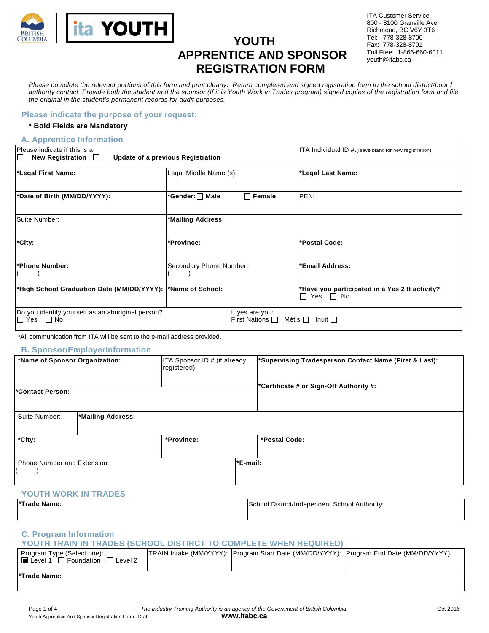

# **YOUTH APPRENTICE AND SPONSOR REGISTRATION FORM**

ITA Customer Service 800 - 8100 Granville Ave Richmond, BC V6Y 3T6 Tel: 778-328-8700 Fax: 778-328-8701 Toll Free: 1-866-660-6011 youth@itabc.ca

*Please complete the relevant portions of this form and print clearly. Return completed and signed registration form to the school district/board authority contact. Provide both the student and the sponsor (If it is Youth Work in Trades program) signed copies of the registration form and file the original in the student's permanent records for audit purposes.* 

#### **Please indicate the purpose of your request:**

#### **\* Bold Fields are Mandatory**

#### **A. Apprentice Information**

| Please indicate if this is a<br>New Registration $\Box$<br>IП            | Update of a previous Registration |                                                      | ITA Individual ID #: (leave blank for new registration)                    |
|--------------------------------------------------------------------------|-----------------------------------|------------------------------------------------------|----------------------------------------------------------------------------|
| *Legal First Name:                                                       | Legal Middle Name (s):            |                                                      | *Legal Last Name:                                                          |
| *Date of Birth (MM/DD/YYYY):                                             |                                   | $\Box$ Female                                        | PEN:                                                                       |
| <b>ISuite Number:</b>                                                    | *Mailing Address:                 |                                                      |                                                                            |
| *City:                                                                   | *Province:                        |                                                      | *Postal Code:                                                              |
| *Phone Number:                                                           | Secondary Phone Number:           |                                                      | *Email Address:                                                            |
| *High School Graduation Date (MM/DD/YYYY):  *Name of School:             |                                   |                                                      | *Have you participated in a Yes 2 It activity?<br>Yes $\Box$ No<br>$\perp$ |
| Do you identify yourself as an aboriginal person?<br>l⊟ Yes<br>$\Box$ No |                                   | If yes are you:<br>First Nations $\Box$ Métis $\Box$ | Inuit $\Box$                                                               |

\*All communication from ITA will be sent to the e-mail address provided.

#### **B. Sponsor/EmployerInformation**

| *Name of Sponsor Organization:<br>Contact Person: |                   | ITA Sponsor ID # (if already<br>registered): | *Supervising Tradesperson Contact Name (First & Last):<br>*Certificate # or Sign-Off Authority #: |               |
|---------------------------------------------------|-------------------|----------------------------------------------|---------------------------------------------------------------------------------------------------|---------------|
| Suite Number:                                     | *Mailing Address: |                                              |                                                                                                   |               |
| *City:                                            |                   | *Province:                                   |                                                                                                   | *Postal Code: |
| Phone Number and Extension:                       |                   |                                              | *E-mail:                                                                                          |               |

#### **YOUTH WORK IN TRADES**

| <b>Trade Name:</b> | School District/Independent School Authority: |  |
|--------------------|-----------------------------------------------|--|
|                    |                                               |  |

#### **C. Program Information**

### **YOUTH TRAIN IN TRADES (SCHOOL DISTIRCT TO COMPLETE WHEN REQUIRED)**

| Program Type (Select one):<br>l∎ Level<br>□ Foundation<br>$\Box$ Level 2 | [TRAIN Intake (MM/YYYY): [Program Start Date (MM/DD/YYYY): [Program End Date (MM/DD/YYYY): |  |
|--------------------------------------------------------------------------|--------------------------------------------------------------------------------------------|--|
| *Trade Name:                                                             |                                                                                            |  |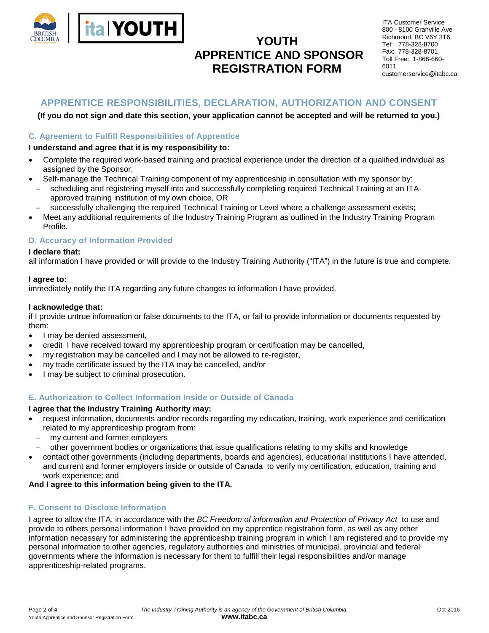

# **YOUTH APPRENTICE AND SPONSOR REGISTRATION FORM**

| <b>ITA Customer Service</b> |  |  |
|-----------------------------|--|--|
| 800 - 8100 Granville Ave    |  |  |
| Richmond, BC V6Y 3T6        |  |  |
| Tel: 778-328-8700           |  |  |
| Fax: 778-328-8701           |  |  |
| Toll Free: 1-866-660-       |  |  |
| 6011                        |  |  |
| customerservice@itabc.ca    |  |  |

## **APPRENTICE RESPONSIBILITIES, DECLARATION, AUTHORIZATION AND CONSENT**

#### **(If you do not sign and date this section, your application cannot be accepted and will be returned to you.)**

#### **C. Agreement to Fulfill Responsibilities of Apprentice**

#### **I understand and agree that it is my responsibility to:**

- Complete the required work-based training and practical experience under the direction of a qualified individual as assigned by the Sponsor;
- Self-manage the Technical Training component of my apprenticeship in consultation with my sponsor by:
- − scheduling and registering myself into and successfully completing required Technical Training at an ITAapproved training institution of my own choice, OR
- successfully challenging the required Technical Training or Level where a challenge assessment exists;
- Meet any additional requirements of the Industry Training Program as outlined in the Industry Training Program Profile.

#### **D. Accuracy of Information Provided**

#### **I declare that:**

all information I have provided or will provide to the Industry Training Authority ("ITA") in the future is true and complete.

#### **I agree to:**

immediately notify the ITA regarding any future changes to information I have provided.

#### **I acknowledge that:**

if I provide untrue information or false documents to the ITA, or fail to provide information or documents requested by them:

- I may be denied assessment.
- credit I have received toward my apprenticeship program or certification may be cancelled,
- my registration may be cancelled and I may not be allowed to re-register,
- my trade certificate issued by the ITA may be cancelled, and/or
- I may be subject to criminal prosecution.

#### **E. Authorization to Collect Information Inside or Outside of Canada**

#### **I agree that the Industry Training Authority may:**

- request information, documents and/or records regarding my education, training, work experience and certification related to my apprenticeship program from:
	- − my current and former employers
	- − other government bodies or organizations that issue qualifications relating to my skills and knowledge
- contact other governments (including departments, boards and agencies), educational institutions I have attended, and current and former employers inside or outside of Canada to verify my certification, education, training and work experience; and

#### **And I agree to this information being given to the ITA.**

#### **F. Consent to Disclose Information**

I agree to allow the ITA, in accordance with the *BC Freedom of information and Protection of Privacy Act* to use and provide to others personal information I have provided on my apprentice registration form, as well as any other information necessary for administering the apprenticeship training program in which I am registered and to provide my personal information to other agencies, regulatory authorities and ministries of municipal, provincial and federal governments where the information is necessary for them to fulfill their legal responsibilities and/or manage apprenticeship-related programs.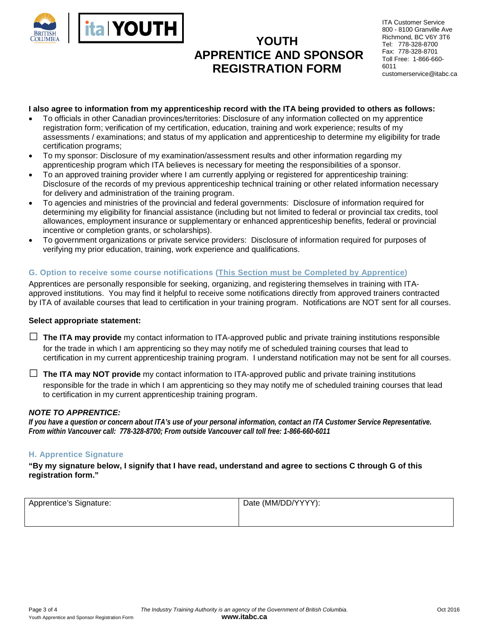

# **YOUTH APPRENTICE AND SPONSOR REGISTRATION FORM**

ITA Customer Service 800 - 8100 Granville Ave Richmond, BC V6Y 3T6 Tel: 778-328-8700 Fax: 778-328-8701 Toll Free: 1-866-660- 6011 customerservice@itabc.ca

#### **I also agree to information from my apprenticeship record with the ITA being provided to others as follows:**

- To officials in other Canadian provinces/territories: Disclosure of any information collected on my apprentice registration form; verification of my certification, education, training and work experience; results of my assessments / examinations; and status of my application and apprenticeship to determine my eligibility for trade certification programs;
- To my sponsor: Disclosure of my examination/assessment results and other information regarding my apprenticeship program which ITA believes is necessary for meeting the responsibilities of a sponsor.
- To an approved training provider where I am currently applying or registered for apprenticeship training: Disclosure of the records of my previous apprenticeship technical training or other related information necessary for delivery and administration of the training program.
- To agencies and ministries of the provincial and federal governments: Disclosure of information required for determining my eligibility for financial assistance (including but not limited to federal or provincial tax credits, tool allowances, employment insurance or supplementary or enhanced apprenticeship benefits, federal or provincial incentive or completion grants, or scholarships).
- To government organizations or private service providers: Disclosure of information required for purposes of verifying my prior education, training, work experience and qualifications.

### **G. Option to receive some course notifications (This Section must be Completed by Apprentice)**

Apprentices are personally responsible for seeking, organizing, and registering themselves in training with ITAapproved institutions. You may find it helpful to receive some notifications directly from approved trainers contracted by ITA of available courses that lead to certification in your training program. Notifications are NOT sent for all courses.

#### **Select appropriate statement:**

□ **The ITA may provide** my contact information to ITA-approved public and private training institutions responsible for the trade in which I am apprenticing so they may notify me of scheduled training courses that lead to certification in my current apprenticeship training program. I understand notification may not be sent for all courses.

□ **The ITA may NOT provide** my contact information to ITA-approved public and private training institutions responsible for the trade in which I am apprenticing so they may notify me of scheduled training courses that lead to certification in my current apprenticeship training program.

#### *NOTE TO APPRENTICE:*

*If you have a question or concern about ITA's use of your personal information, contact an ITA Customer Service Representative. From within Vancouver call: 778-328-8700; From outside Vancouver call toll free: 1-866-660-6011*

#### **H. Apprentice Signature**

**"By my signature below, I signify that I have read, understand and agree to sections C through G of this registration form."**

| Apprentice's Signature: | Date (MM/DD/YYYY): |  |
|-------------------------|--------------------|--|
|                         |                    |  |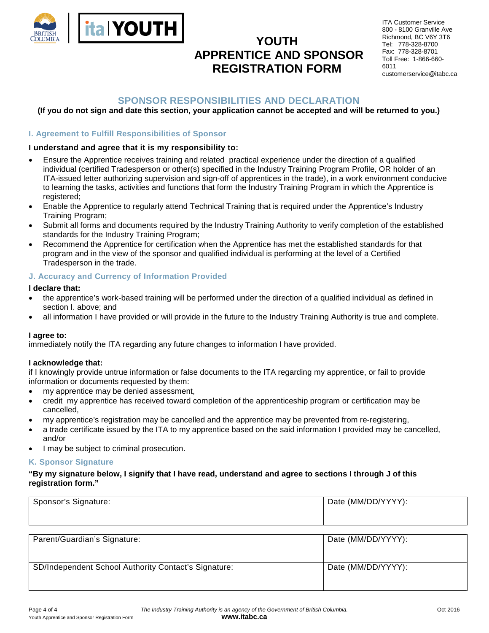

# **YOUTH APPRENTICE AND SPONSOR REGISTRATION FORM**

ITA Customer Service 800 - 8100 Granville Ave Richmond, BC V6Y 3T6 Tel: 778-328-8700 Fax: 778-328-8701 Toll Free: 1-866-660- 6011 customerservice@itabc.ca

# **SPONSOR RESPONSIBILITIES AND DECLARATION**

### **(If you do not sign and date this section, your application cannot be accepted and will be returned to you.)**

### **I. Agreement to Fulfill Responsibilities of Sponsor**

#### **I understand and agree that it is my responsibility to:**

- Ensure the Apprentice receives training and related practical experience under the direction of a qualified individual (certified Tradesperson or other(s) specified in the Industry Training Program Profile, OR holder of an ITA-issued letter authorizing supervision and sign-off of apprentices in the trade), in a work environment conducive to learning the tasks, activities and functions that form the Industry Training Program in which the Apprentice is registered;
- Enable the Apprentice to regularly attend Technical Training that is required under the Apprentice's Industry Training Program;
- Submit all forms and documents required by the Industry Training Authority to verify completion of the established standards for the Industry Training Program;
- Recommend the Apprentice for certification when the Apprentice has met the established standards for that program and in the view of the sponsor and qualified individual is performing at the level of a Certified Tradesperson in the trade.

#### **J. Accuracy and Currency of Information Provided**

#### **I declare that:**

- the apprentice's work-based training will be performed under the direction of a qualified individual as defined in section I. above; and
- all information I have provided or will provide in the future to the Industry Training Authority is true and complete.

#### **I agree to:**

immediately notify the ITA regarding any future changes to information I have provided.

#### **I acknowledge that:**

if I knowingly provide untrue information or false documents to the ITA regarding my apprentice, or fail to provide information or documents requested by them:

- my apprentice may be denied assessment,
- credit my apprentice has received toward completion of the apprenticeship program or certification may be cancelled,
- my apprentice's registration may be cancelled and the apprentice may be prevented from re-registering,
- a trade certificate issued by the ITA to my apprentice based on the said information I provided may be cancelled, and/or
- I may be subject to criminal prosecution.

#### **K. Sponsor Signature**

#### **"By my signature below, I signify that I have read, understand and agree to sections I through J of this registration form."**

| Sponsor's Signature:                                 | Date (MM/DD/YYYY): |
|------------------------------------------------------|--------------------|
|                                                      |                    |
| Parent/Guardian's Signature:                         | Date (MM/DD/YYYY): |
| SD/Independent School Authority Contact's Signature: | Date (MM/DD/YYYY): |